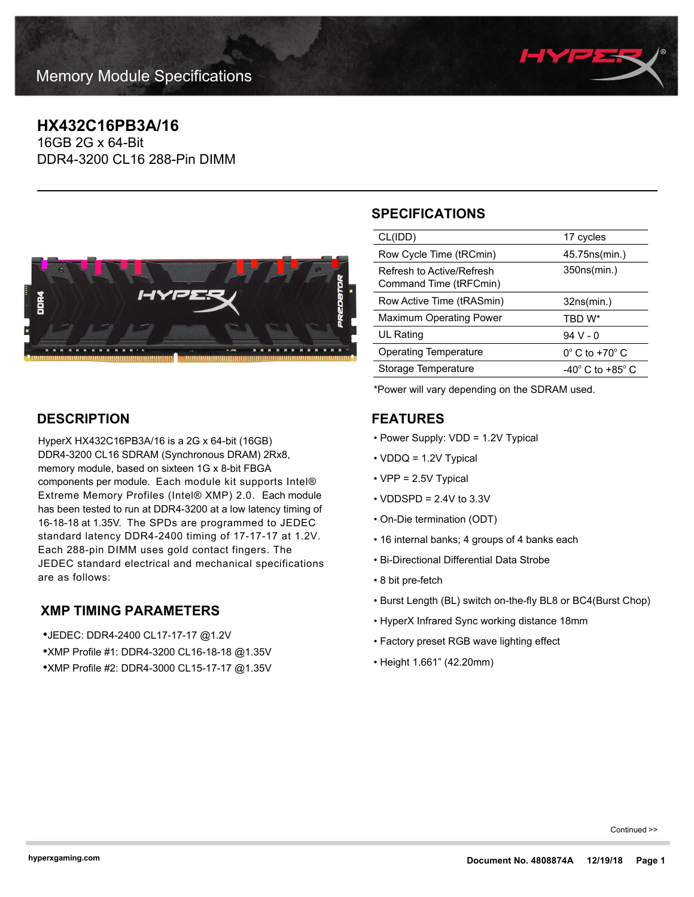

## **HX432C16PB3A/16**

16GB 2G x 64-Bit DDR4-3200 CL16 288-Pin DIMM



# **SPECIFICATIONS**

| CL(IDD)                                             | 17 cycles                            |
|-----------------------------------------------------|--------------------------------------|
| Row Cycle Time (tRCmin)                             | 45.75ns(min.)                        |
| Refresh to Active/Refresh<br>Command Time (tRFCmin) | 350ns(min.)                          |
| Row Active Time (tRASmin)                           | 32ns(min.)                           |
| <b>Maximum Operating Power</b>                      | TBD W*                               |
| UL Rating                                           | 94 V - 0                             |
| <b>Operating Temperature</b>                        | $0^\circ$ C to $+70^\circ$ C         |
| Storage Temperature                                 | -40 $^{\circ}$ C to +85 $^{\circ}$ C |
|                                                     |                                      |

\*Power will vary depending on the SDRAM used.

### **FEATURES**

- Power Supply: VDD = 1.2V Typical
- VDDQ = 1.2V Typical
- VPP = 2.5V Typical
- $\cdot$  VDDSPD = 2.4V to 3.3V
- On-Die termination (ODT)
- 16 internal banks; 4 groups of 4 banks each
- Bi-Directional Differential Data Strobe
- 8 bit pre-fetch
- Burst Length (BL) switch on-the-fly BL8 or BC4(Burst Chop)
- HyperX Infrared Sync working distance 18mm
- Factory preset RGB wave lighting effect
- Height 1.661" (42.20mm)

## **DESCRIPTION**

HyperX HX432C16PB3A/16 is a 2G x 64-bit (16GB) DDR4-3200 CL16 SDRAM (Synchronous DRAM) 2Rx8, memory module, based on sixteen 1G x 8-bit FBGA components per module. Each module kit supports Intel® Extreme Memory Profiles (Intel® XMP) 2.0. Each module has been tested to run at DDR4-3200 at a low latency timing of 16-18-18 at 1.35V. The SPDs are programmed to JEDEC standard latency DDR4-2400 timing of 17-17-17 at 1.2V. Each 288-pin DIMM uses gold contact fingers. The JEDEC standard electrical and mechanical specifications are as follows:

## **XMP TIMING PARAMETERS**

•JEDEC: DDR4-2400 CL17-17-17 @1.2V •XMP Profile #1: DDR4-3200 CL16-18-18 @1.35V •XMP Profile #2: DDR4-3000 CL15-17-17 @1.35V

Continued >>